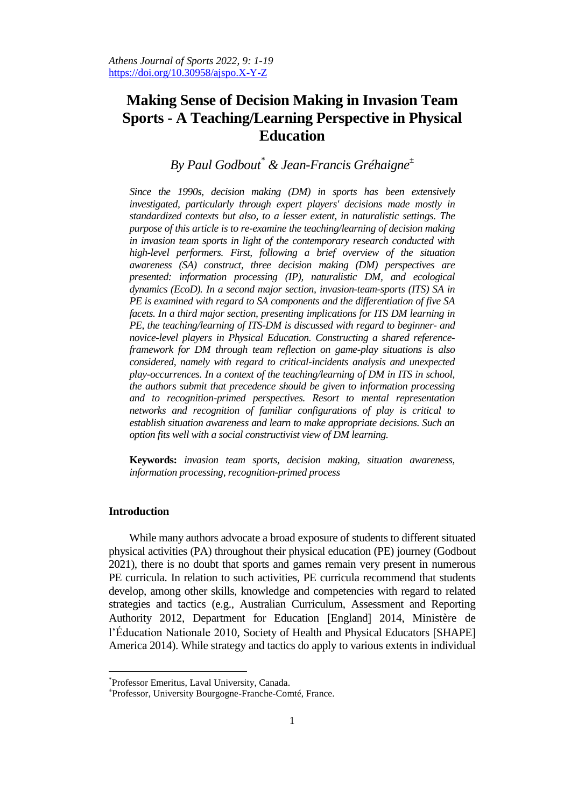# **Making Sense of Decision Making in Invasion Team Sports - A Teaching/Learning Perspective in Physical Education**

## *By Paul Godbout\* & Jean-Francis Gréhaigne<sup>±</sup>*

*Since the 1990s, decision making (DM) in sports has been extensively investigated, particularly through expert players' decisions made mostly in standardized contexts but also, to a lesser extent, in naturalistic settings. The purpose of this article is to re-examine the teaching/learning of decision making in invasion team sports in light of the contemporary research conducted with high-level performers. First, following a brief overview of the situation awareness (SA) construct, three decision making (DM) perspectives are presented: information processing (IP), naturalistic DM, and ecological dynamics (EcoD). In a second major section, invasion-team-sports (ITS) SA in PE is examined with regard to SA components and the differentiation of five SA facets. In a third major section, presenting implications for ITS DM learning in PE, the teaching/learning of ITS-DM is discussed with regard to beginner- and novice-level players in Physical Education. Constructing a shared referenceframework for DM through team reflection on game-play situations is also considered, namely with regard to critical-incidents analysis and unexpected play-occurrences. In a context of the teaching/learning of DM in ITS in school, the authors submit that precedence should be given to information processing and to recognition-primed perspectives. Resort to mental representation networks and recognition of familiar configurations of play is critical to establish situation awareness and learn to make appropriate decisions. Such an option fits well with a social constructivist view of DM learning.*

**Keywords:** *invasion team sports, decision making, situation awareness, information processing, recognition-primed process*

## **Introduction**

While many authors advocate a broad exposure of students to different situated physical activities (PA) throughout their physical education (PE) journey (Godbout 2021), there is no doubt that sports and games remain very present in numerous PE curricula. In relation to such activities, PE curricula recommend that students develop, among other skills, knowledge and competencies with regard to related strategies and tactics (e.g., Australian Curriculum, Assessment and Reporting Authority 2012, Department for Education [England] 2014, Ministère de l'Éducation Nationale 2010, Society of Health and Physical Educators [SHAPE] America 2014). While strategy and tactics do apply to various extents in individual

<sup>\*</sup> Professor Emeritus, Laval University, Canada.

<sup>±</sup> Professor, University Bourgogne-Franche-Comté, France.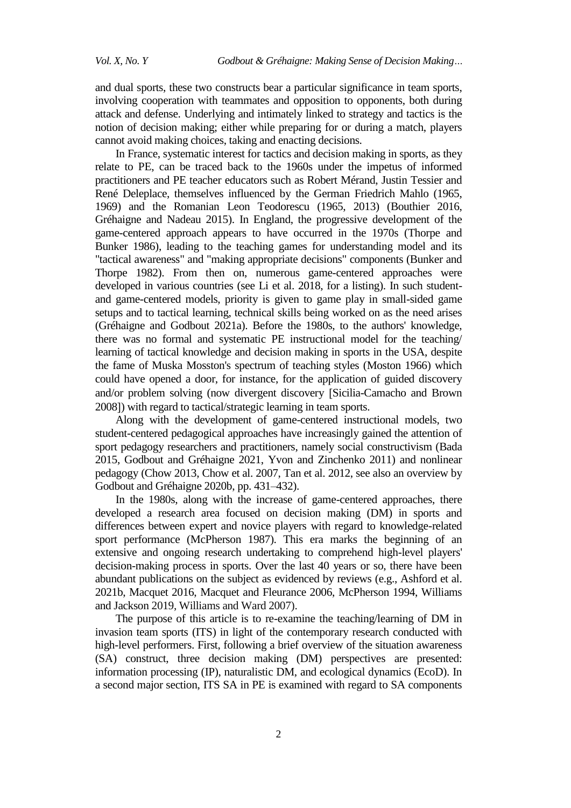and dual sports, these two constructs bear a particular significance in team sports, involving cooperation with teammates and opposition to opponents, both during attack and defense. Underlying and intimately linked to strategy and tactics is the notion of decision making; either while preparing for or during a match, players cannot avoid making choices, taking and enacting decisions.

In France, systematic interest for tactics and decision making in sports, as they relate to PE, can be traced back to the 1960s under the impetus of informed practitioners and PE teacher educators such as Robert Mérand, Justin Tessier and René Deleplace, themselves influenced by the German Friedrich Mahlo (1965, 1969) and the Romanian Leon Teodorescu (1965, 2013) (Bouthier 2016, Gréhaigne and Nadeau 2015). In England, the progressive development of the game-centered approach appears to have occurred in the 1970s (Thorpe and Bunker 1986), leading to the teaching games for understanding model and its "tactical awareness" and "making appropriate decisions" components (Bunker and Thorpe 1982). From then on, numerous game-centered approaches were developed in various countries (see Li et al. 2018, for a listing). In such studentand game-centered models, priority is given to game play in small-sided game setups and to tactical learning, technical skills being worked on as the need arises (Gréhaigne and Godbout 2021a). Before the 1980s, to the authors' knowledge, there was no formal and systematic PE instructional model for the teaching/ learning of tactical knowledge and decision making in sports in the USA, despite the fame of Muska Mosston's spectrum of teaching styles (Moston 1966) which could have opened a door, for instance, for the application of guided discovery and/or problem solving (now divergent discovery Sicilia-Camacho and Brown 2008) with regard to tactical/strategic learning in team sports.

Along with the development of game-centered instructional models, two student-centered pedagogical approaches have increasingly gained the attention of sport pedagogy researchers and practitioners, namely social constructivism (Bada 2015, Godbout and Gréhaigne 2021, Yvon and Zinchenko 2011) and nonlinear pedagogy (Chow 2013, Chow et al. 2007, Tan et al. 2012, see also an overview by Godbout and Gréhaigne 2020b, pp. 431–432).

In the 1980s, along with the increase of game-centered approaches, there developed a research area focused on decision making (DM) in sports and differences between expert and novice players with regard to knowledge-related sport performance (McPherson 1987). This era marks the beginning of an extensive and ongoing research undertaking to comprehend high-level players' decision-making process in sports. Over the last 40 years or so, there have been abundant publications on the subject as evidenced by reviews (e.g., Ashford et al. 2021b, Macquet 2016, Macquet and Fleurance 2006, McPherson 1994, Williams and Jackson 2019, Williams and Ward 2007).

The purpose of this article is to re-examine the teaching/learning of DM in invasion team sports (ITS) in light of the contemporary research conducted with high-level performers. First, following a brief overview of the situation awareness (SA) construct, three decision making (DM) perspectives are presented: information processing (IP), naturalistic DM, and ecological dynamics (EcoD). In a second major section, ITS SA in PE is examined with regard to SA components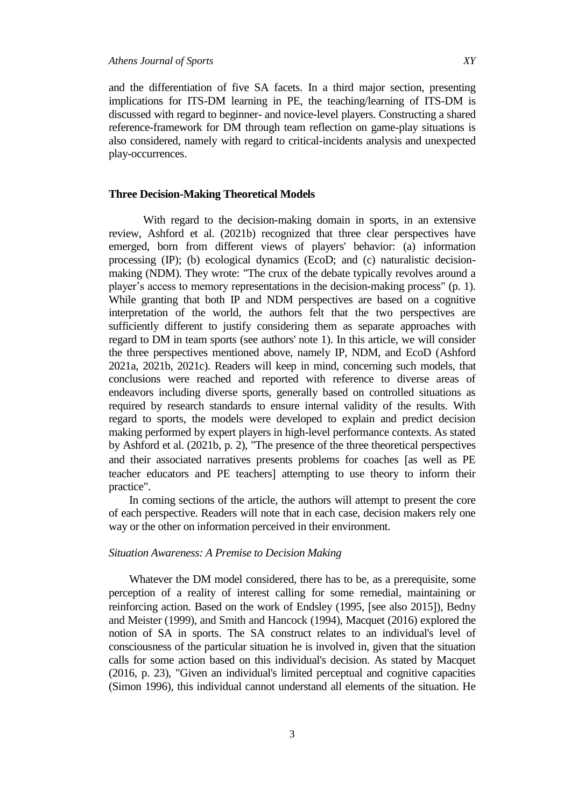and the differentiation of five SA facets. In a third major section, presenting implications for ITS-DM learning in PE, the teaching/learning of ITS-DM is discussed with regard to beginner- and novice-level players. Constructing a shared reference-framework for DM through team reflection on game-play situations is also considered, namely with regard to critical-incidents analysis and unexpected play-occurrences.

## **Three Decision-Making Theoretical Models**

With regard to the decision-making domain in sports, in an extensive review, Ashford et al. (2021b) recognized that three clear perspectives have emerged, born from different views of players' behavior: (a) information processing (IP); (b) ecological dynamics (EcoD; and (c) naturalistic decisionmaking (NDM). They wrote: "The crux of the debate typically revolves around a player"s access to memory representations in the decision-making process" (p. 1). While granting that both IP and NDM perspectives are based on a cognitive interpretation of the world, the authors felt that the two perspectives are sufficiently different to justify considering them as separate approaches with regard to DM in team sports (see authors' note 1). In this article, we will consider the three perspectives mentioned above, namely IP, NDM, and EcoD (Ashford 2021a, 2021b, 2021c). Readers will keep in mind, concerning such models, that conclusions were reached and reported with reference to diverse areas of endeavors including diverse sports, generally based on controlled situations as required by research standards to ensure internal validity of the results. With regard to sports, the models were developed to explain and predict decision making performed by expert players in high-level performance contexts. As stated by Ashford et al. (2021b, p. 2), "The presence of the three theoretical perspectives and their associated narratives presents problems for coaches [as well as PE teacher educators and PE teachers] attempting to use theory to inform their practice".

In coming sections of the article, the authors will attempt to present the core of each perspective. Readers will note that in each case, decision makers rely one way or the other on information perceived in their environment.

#### *Situation Awareness: A Premise to Decision Making*

Whatever the DM model considered, there has to be, as a prerequisite, some perception of a reality of interest calling for some remedial, maintaining or reinforcing action. Based on the work of Endsley (1995, [see also 2015]), Bedny and Meister (1999), and Smith and Hancock (1994), Macquet (2016) explored the notion of SA in sports. The SA construct relates to an individual's level of consciousness of the particular situation he is involved in, given that the situation calls for some action based on this individual's decision. As stated by Macquet (2016, p. 23), "Given an individual's limited perceptual and cognitive capacities (Simon 1996), this individual cannot understand all elements of the situation. He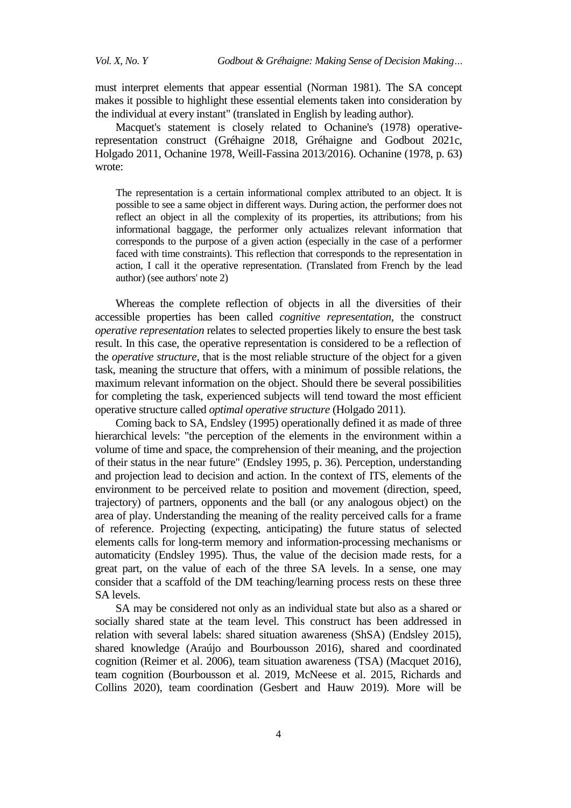must interpret elements that appear essential (Norman 1981). The SA concept makes it possible to highlight these essential elements taken into consideration by the individual at every instant" (translated in English by leading author).

Macquet's statement is closely related to Ochanine's (1978) operativerepresentation construct (Gréhaigne 2018, Gréhaigne and Godbout 2021c, Holgado 2011, Ochanine 1978, Weill-Fassina 2013/2016). Ochanine (1978, p. 63) wrote:

The representation is a certain informational complex attributed to an object. It is possible to see a same object in different ways. During action, the performer does not reflect an object in all the complexity of its properties, its attributions; from his informational baggage, the performer only actualizes relevant information that corresponds to the purpose of a given action (especially in the case of a performer faced with time constraints). This reflection that corresponds to the representation in action, I call it the operative representation. (Translated from French by the lead author) (see authors' note 2)

Whereas the complete reflection of objects in all the diversities of their accessible properties has been called *cognitive representation*, the construct *operative representation* relates to selected properties likely to ensure the best task result. In this case, the operative representation is considered to be a reflection of the *operative structure*, that is the most reliable structure of the object for a given task, meaning the structure that offers, with a minimum of possible relations, the maximum relevant information on the object. Should there be several possibilities for completing the task, experienced subjects will tend toward the most efficient operative structure called *optimal operative structure* (Holgado 2011).

Coming back to SA, Endsley (1995) operationally defined it as made of three hierarchical levels: "the perception of the elements in the environment within a volume of time and space, the comprehension of their meaning, and the projection of their status in the near future" (Endsley 1995, p. 36). Perception, understanding and projection lead to decision and action. In the context of ITS, elements of the environment to be perceived relate to position and movement (direction, speed, trajectory) of partners, opponents and the ball (or any analogous object) on the area of play. Understanding the meaning of the reality perceived calls for a frame of reference. Projecting (expecting, anticipating) the future status of selected elements calls for long-term memory and information-processing mechanisms or automaticity (Endsley 1995). Thus, the value of the decision made rests, for a great part, on the value of each of the three SA levels. In a sense, one may consider that a scaffold of the DM teaching/learning process rests on these three SA levels.

SA may be considered not only as an individual state but also as a shared or socially shared state at the team level. This construct has been addressed in relation with several labels: shared situation awareness (ShSA) (Endsley 2015), shared knowledge (Araújo and Bourbousson 2016), shared and coordinated cognition (Reimer et al. 2006), team situation awareness (TSA) (Macquet 2016), team cognition (Bourbousson et al. 2019, McNeese et al. 2015, Richards and Collins 2020), team coordination (Gesbert and Hauw 2019). More will be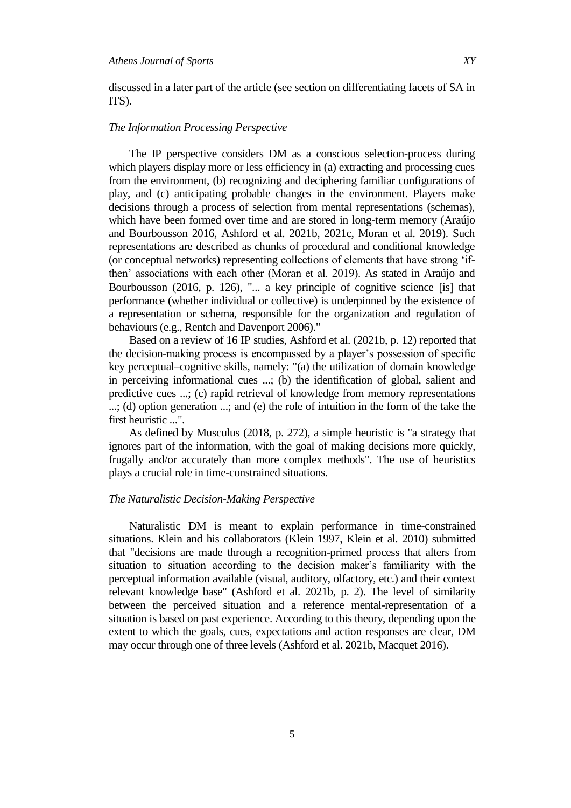discussed in a later part of the article (see section on differentiating facets of SA in ITS).

#### *The Information Processing Perspective*

The IP perspective considers DM as a conscious selection-process during which players display more or less efficiency in (a) extracting and processing cues from the environment, (b) recognizing and deciphering familiar configurations of play, and (c) anticipating probable changes in the environment. Players make decisions through a process of selection from mental representations (schemas), which have been formed over time and are stored in long-term memory (Araújo and Bourbousson 2016, Ashford et al. 2021b, 2021c, Moran et al. 2019). Such representations are described as chunks of procedural and conditional knowledge (or conceptual networks) representing collections of elements that have strong "ifthen" associations with each other (Moran et al. 2019). As stated in Araújo and Bourbousson (2016, p. 126), " $\ldots$  a key principle of cognitive science [is] that performance (whether individual or collective) is underpinned by the existence of a representation or schema, responsible for the organization and regulation of behaviours (e.g., Rentch and Davenport 2006)."

Based on a review of 16 IP studies, Ashford et al. (2021b, p. 12) reported that the decision-making process is encompassed by a player"s possession of specific key perceptual–cognitive skills, namely: "(a) the utilization of domain knowledge in perceiving informational cues ...; (b) the identification of global, salient and predictive cues ...; (c) rapid retrieval of knowledge from memory representations ...; (d) option generation ...; and (e) the role of intuition in the form of the take the first heuristic ...".

As defined by Musculus (2018, p. 272), a simple heuristic is "a strategy that ignores part of the information, with the goal of making decisions more quickly, frugally and/or accurately than more complex methods". The use of heuristics plays a crucial role in time-constrained situations.

#### *The Naturalistic Decision-Making Perspective*

Naturalistic DM is meant to explain performance in time-constrained situations. Klein and his collaborators (Klein 1997, Klein et al. 2010) submitted that "decisions are made through a recognition-primed process that alters from situation to situation according to the decision maker"s familiarity with the perceptual information available (visual, auditory, olfactory, etc.) and their context relevant knowledge base" (Ashford et al. 2021b, p. 2). The level of similarity between the perceived situation and a reference mental-representation of a situation is based on past experience. According to this theory, depending upon the extent to which the goals, cues, expectations and action responses are clear, DM may occur through one of three levels (Ashford et al. 2021b, Macquet 2016).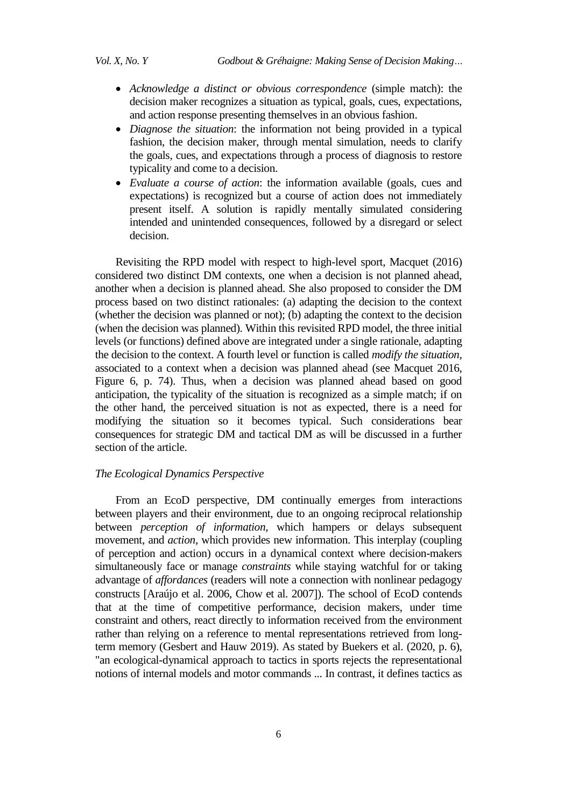- *Acknowledge a distinct or obvious correspondence* (simple match): the decision maker recognizes a situation as typical, goals, cues, expectations, and action response presenting themselves in an obvious fashion.
- *Diagnose the situation*: the information not being provided in a typical fashion, the decision maker, through mental simulation, needs to clarify the goals, cues, and expectations through a process of diagnosis to restore typicality and come to a decision.
- *Evaluate a course of action*: the information available (goals, cues and expectations) is recognized but a course of action does not immediately present itself. A solution is rapidly mentally simulated considering intended and unintended consequences, followed by a disregard or select decision.

Revisiting the RPD model with respect to high-level sport, Macquet (2016) considered two distinct DM contexts, one when a decision is not planned ahead, another when a decision is planned ahead. She also proposed to consider the DM process based on two distinct rationales: (a) adapting the decision to the context (whether the decision was planned or not); (b) adapting the context to the decision (when the decision was planned). Within this revisited RPD model, the three initial levels (or functions) defined above are integrated under a single rationale, adapting the decision to the context. A fourth level or function is called *modify the situation*, associated to a context when a decision was planned ahead (see Macquet 2016, Figure 6, p. 74). Thus, when a decision was planned ahead based on good anticipation, the typicality of the situation is recognized as a simple match; if on the other hand, the perceived situation is not as expected, there is a need for modifying the situation so it becomes typical. Such considerations bear consequences for strategic DM and tactical DM as will be discussed in a further section of the article.

#### *The Ecological Dynamics Perspective*

From an EcoD perspective, DM continually emerges from interactions between players and their environment, due to an ongoing reciprocal relationship between *perception of information*, which hampers or delays subsequent movement, and *action*, which provides new information. This interplay (coupling of perception and action) occurs in a dynamical context where decision-makers simultaneously face or manage *constraints* while staying watchful for or taking advantage of *affordances* (readers will note a connection with nonlinear pedagogy constructs [Araújo et al. 2006, Chow et al. 2007]). The school of EcoD contends that at the time of competitive performance, decision makers, under time constraint and others, react directly to information received from the environment rather than relying on a reference to mental representations retrieved from longterm memory (Gesbert and Hauw 2019). As stated by Buekers et al. (2020, p. 6), "an ecological-dynamical approach to tactics in sports rejects the representational notions of internal models and motor commands ... In contrast, it defines tactics as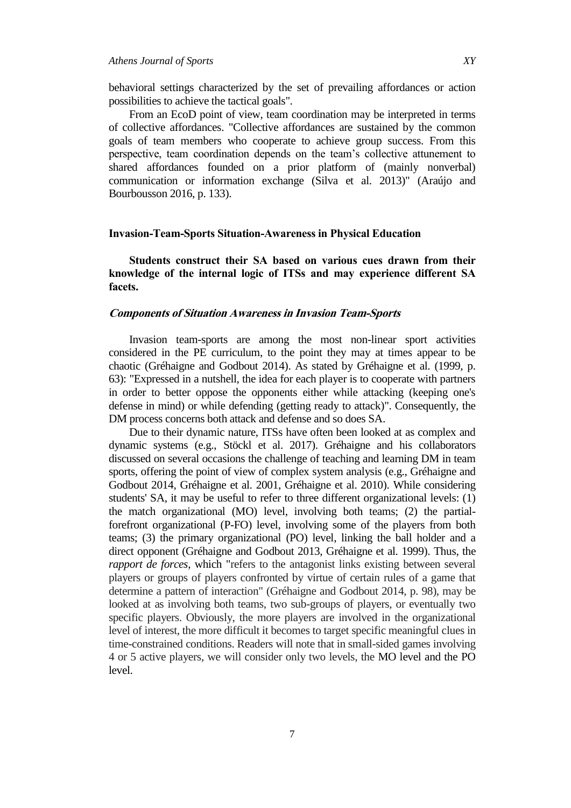behavioral settings characterized by the set of prevailing affordances or action possibilities to achieve the tactical goals".

From an EcoD point of view, team coordination may be interpreted in terms of collective affordances. "Collective affordances are sustained by the common goals of team members who cooperate to achieve group success. From this perspective, team coordination depends on the team"s collective attunement to shared affordances founded on a prior platform of (mainly nonverbal) communication or information exchange (Silva et al. 2013)" (Araújo and Bourbousson 2016, p. 133).

#### **Invasion-Team-Sports Situation-Awareness in Physical Education**

**Students construct their SA based on various cues drawn from their knowledge of the internal logic of ITSs and may experience different SA facets.**

## **Components of Situation Awareness in Invasion Team-Sports**

Invasion team-sports are among the most non-linear sport activities considered in the PE curriculum, to the point they may at times appear to be chaotic (Gréhaigne and Godbout 2014). As stated by Gréhaigne et al. (1999, p. 63): "Expressed in a nutshell, the idea for each player is to cooperate with partners in order to better oppose the opponents either while attacking (keeping one's defense in mind) or while defending (getting ready to attack)". Consequently, the DM process concerns both attack and defense and so does SA.

Due to their dynamic nature, ITSs have often been looked at as complex and dynamic systems (e.g., Stöckl et al. 2017). Gréhaigne and his collaborators discussed on several occasions the challenge of teaching and learning DM in team sports, offering the point of view of complex system analysis (e.g., Gréhaigne and Godbout 2014, Gréhaigne et al. 2001, Gréhaigne et al. 2010). While considering students' SA, it may be useful to refer to three different organizational levels: (1) the match organizational (MO) level, involving both teams; (2) the partialforefront organizational (P-FO) level, involving some of the players from both teams; (3) the primary organizational (PO) level, linking the ball holder and a direct opponent (Gréhaigne and Godbout 2013, Gréhaigne et al. 1999). Thus, the *rapport de forces*, which "refers to the antagonist links existing between several players or groups of players confronted by virtue of certain rules of a game that determine a pattern of interaction" (Gréhaigne and Godbout 2014, p. 98), may be looked at as involving both teams, two sub-groups of players, or eventually two specific players. Obviously, the more players are involved in the organizational level of interest, the more difficult it becomes to target specific meaningful clues in time-constrained conditions. Readers will note that in small-sided games involving 4 or 5 active players, we will consider only two levels, the MO level and the PO level.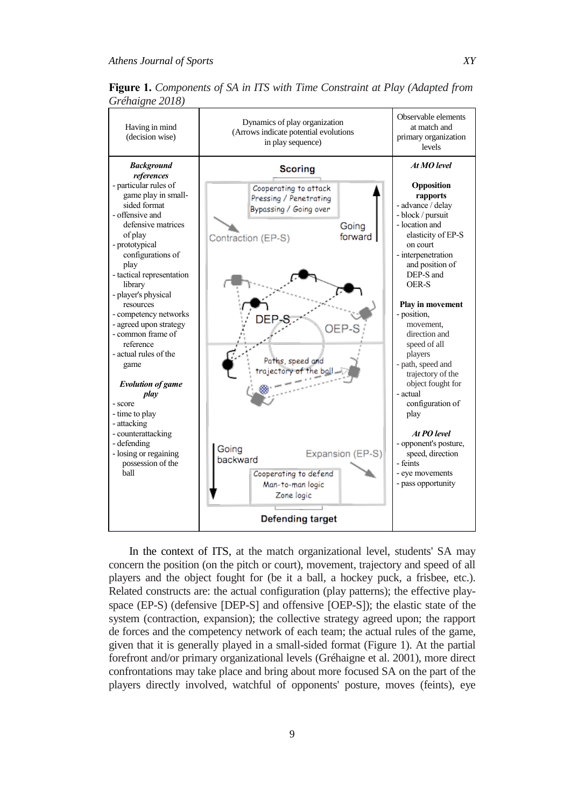Having in mind (decision wise)

*Background references* - particular rules of game play in smallsided format - offensive and defensive matrices

configurations of

- tactical representation

*Evolution of game play*

- score - time to play - attacking - counterattacking - defending - losing or regaining possession of the

ball

of play - prototypical

play

library - player's physical resources - competency networks - agreed upon strategy - common frame of reference - actual rules of the game



Expansion (EP-S)

players - path, speed and trajectory of the object fought for

configuration of

*At PO level* - opponent's posture, speed, direction

actual

play

feints - eye movements - pass opportunity

**Figure 1.** *Components of SA in ITS with Time Constraint at Play (Adapted from Gréhaigne 2018)*

In the context of ITS, at the match organizational level, students' SA may concern the position (on the pitch or court), movement, trajectory and speed of all players and the object fought for (be it a ball, a hockey puck, a frisbee, etc.). Related constructs are: the actual configuration (play patterns); the effective playspace (EP-S) (defensive [DEP-S] and offensive [OEP-S]); the elastic state of the system (contraction, expansion); the collective strategy agreed upon; the rapport de forces and the competency network of each team; the actual rules of the game, given that it is generally played in a small-sided format (Figure 1). At the partial forefront and/or primary organizational levels (Gréhaigne et al. 2001), more direct confrontations may take place and bring about more focused SA on the part of the

Paths, speed and rajectory of the ball

Cooperating to defend Man-to-man logic Zone logic

**Defending target** 

Going

backward

players directly involved, watchful of opponents' posture, moves (feints), eye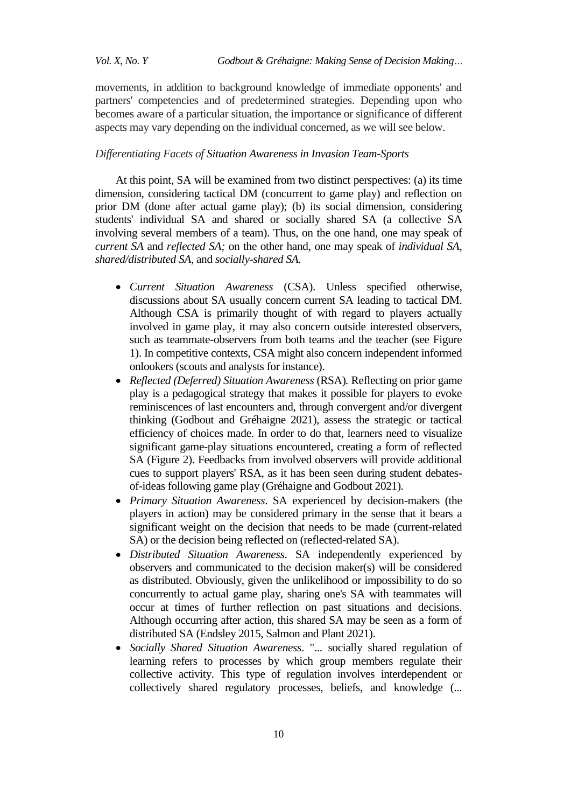movements, in addition to background knowledge of immediate opponents' and partners' competencies and of predetermined strategies. Depending upon who becomes aware of a particular situation, the importance or significance of different aspects may vary depending on the individual concerned, as we will see below.

#### *Differentiating Facets of Situation Awareness in Invasion Team-Sports*

At this point, SA will be examined from two distinct perspectives: (a) its time dimension, considering tactical DM (concurrent to game play) and reflection on prior DM (done after actual game play); (b) its social dimension, considering students' individual SA and shared or socially shared SA (a collective SA involving several members of a team). Thus, on the one hand, one may speak of *current SA* and *reflected SA;* on the other hand, one may speak of *individual SA*, *shared/distributed SA*, and *socially-shared SA*.

- *Current Situation Awareness* (CSA). Unless specified otherwise, discussions about SA usually concern current SA leading to tactical DM. Although CSA is primarily thought of with regard to players actually involved in game play, it may also concern outside interested observers, such as teammate-observers from both teams and the teacher (see Figure 1). In competitive contexts, CSA might also concern independent informed onlookers (scouts and analysts for instance).
- *Reflected (Deferred) Situation Awareness* (RSA)*.* Reflecting on prior game play is a pedagogical strategy that makes it possible for players to evoke reminiscences of last encounters and, through convergent and/or divergent thinking (Godbout and Gréhaigne 2021), assess the strategic or tactical efficiency of choices made. In order to do that, learners need to visualize significant game-play situations encountered, creating a form of reflected SA (Figure 2). Feedbacks from involved observers will provide additional cues to support players' RSA, as it has been seen during student debatesof-ideas following game play (Gréhaigne and Godbout 2021).
- *Primary Situation Awareness*. SA experienced by decision-makers (the players in action) may be considered primary in the sense that it bears a significant weight on the decision that needs to be made (current-related SA) or the decision being reflected on (reflected-related SA).
- *Distributed Situation Awareness*. SA independently experienced by observers and communicated to the decision maker(s) will be considered as distributed. Obviously, given the unlikelihood or impossibility to do so concurrently to actual game play, sharing one's SA with teammates will occur at times of further reflection on past situations and decisions. Although occurring after action, this shared SA may be seen as a form of distributed SA (Endsley 2015, Salmon and Plant 2021).
- *Socially Shared Situation Awareness*. "... socially shared regulation of learning refers to processes by which group members regulate their collective activity. This type of regulation involves interdependent or collectively shared regulatory processes, beliefs, and knowledge (...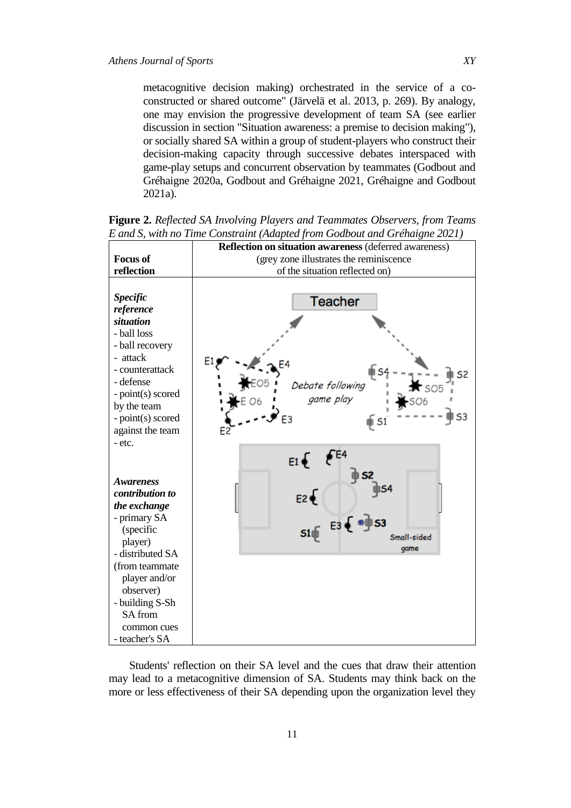metacognitive decision making) orchestrated in the service of a coconstructed or shared outcome" (Järvelä et al. 2013, p. 269). By analogy, one may envision the progressive development of team SA (see earlier discussion in section "Situation awareness: a premise to decision making"), or socially shared SA within a group of student-players who construct their decision-making capacity through successive debates interspaced with game-play setups and concurrent observation by teammates (Godbout and Gréhaigne 2020a, Godbout and Gréhaigne 2021, Gréhaigne and Godbout 2021a).

**Reflection on situation awareness** (deferred awareness) **Focus of**  (grey zone illustrates the reminiscence **reflection** of the situation reflected on) *Specific*  Teacher *reference situation* - ball loss - ball recovery - attack - counterattack - defense Debate following - point(s) scored game play by the team S3 - point(s) scored E<sub>3</sub> against the team - etc.  $554$  $E1$ *Awareness contribution to the exchange* - primary SA (specific Small-sided player) game - distributed SA (from teammate player and/or observer) - building S-Sh SA from common cues - teacher's SA

**Figure 2.** *Reflected SA Involving Players and Teammates Observers, from Teams E and S, with no Time Constraint (Adapted from Godbout and Gréhaigne 2021)*

Students' reflection on their SA level and the cues that draw their attention may lead to a metacognitive dimension of SA. Students may think back on the more or less effectiveness of their SA depending upon the organization level they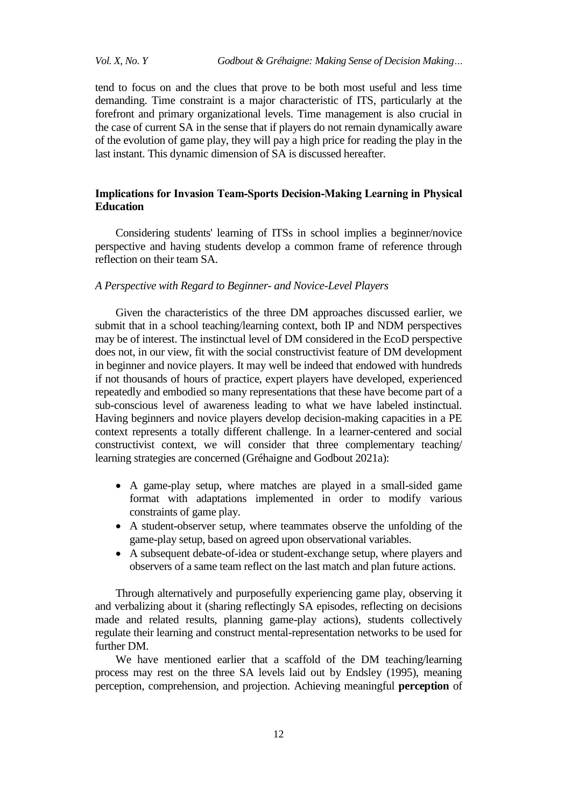tend to focus on and the clues that prove to be both most useful and less time demanding. Time constraint is a major characteristic of ITS, particularly at the forefront and primary organizational levels. Time management is also crucial in the case of current SA in the sense that if players do not remain dynamically aware of the evolution of game play, they will pay a high price for reading the play in the last instant. This dynamic dimension of SA is discussed hereafter.

## **Implications for Invasion Team-Sports Decision-Making Learning in Physical Education**

Considering students' learning of ITSs in school implies a beginner/novice perspective and having students develop a common frame of reference through reflection on their team SA.

#### *A Perspective with Regard to Beginner- and Novice-Level Players*

Given the characteristics of the three DM approaches discussed earlier, we submit that in a school teaching/learning context, both IP and NDM perspectives may be of interest. The instinctual level of DM considered in the EcoD perspective does not, in our view, fit with the social constructivist feature of DM development in beginner and novice players. It may well be indeed that endowed with hundreds if not thousands of hours of practice, expert players have developed, experienced repeatedly and embodied so many representations that these have become part of a sub-conscious level of awareness leading to what we have labeled instinctual. Having beginners and novice players develop decision-making capacities in a PE context represents a totally different challenge. In a learner-centered and social constructivist context, we will consider that three complementary teaching/ learning strategies are concerned (Gréhaigne and Godbout 2021a):

- A game-play setup, where matches are played in a small-sided game format with adaptations implemented in order to modify various constraints of game play.
- A student-observer setup, where teammates observe the unfolding of the game-play setup, based on agreed upon observational variables.
- A subsequent debate-of-idea or student-exchange setup, where players and observers of a same team reflect on the last match and plan future actions.

Through alternatively and purposefully experiencing game play, observing it and verbalizing about it (sharing reflectingly SA episodes, reflecting on decisions made and related results, planning game-play actions), students collectively regulate their learning and construct mental-representation networks to be used for further DM.

We have mentioned earlier that a scaffold of the DM teaching/learning process may rest on the three SA levels laid out by Endsley (1995), meaning perception, comprehension, and projection. Achieving meaningful **perception** of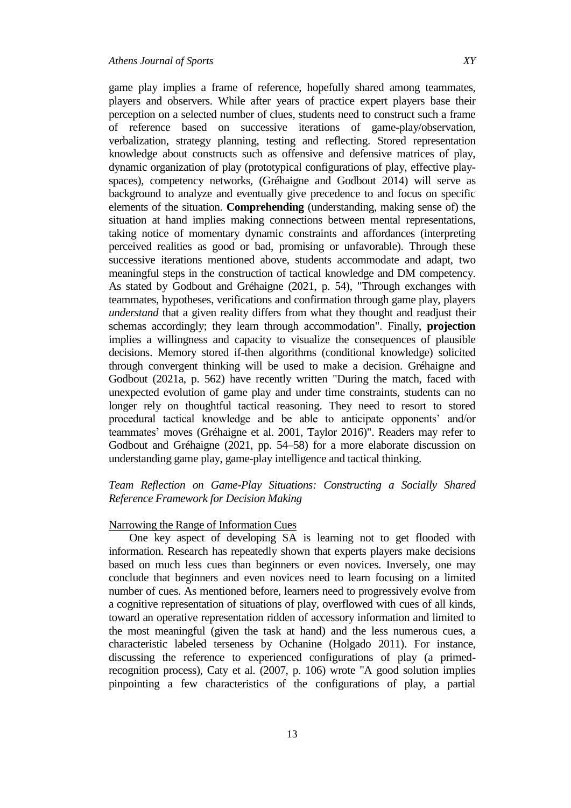game play implies a frame of reference, hopefully shared among teammates, players and observers. While after years of practice expert players base their perception on a selected number of clues, students need to construct such a frame of reference based on successive iterations of game-play/observation, verbalization, strategy planning, testing and reflecting. Stored representation knowledge about constructs such as offensive and defensive matrices of play, dynamic organization of play (prototypical configurations of play, effective playspaces), competency networks, (Gréhaigne and Godbout 2014) will serve as background to analyze and eventually give precedence to and focus on specific elements of the situation. **Comprehending** (understanding, making sense of) the situation at hand implies making connections between mental representations, taking notice of momentary dynamic constraints and affordances (interpreting perceived realities as good or bad, promising or unfavorable). Through these successive iterations mentioned above, students accommodate and adapt, two meaningful steps in the construction of tactical knowledge and DM competency. As stated by Godbout and Gréhaigne (2021, p. 54), "Through exchanges with teammates, hypotheses, verifications and confirmation through game play, players *understand* that a given reality differs from what they thought and readjust their schemas accordingly; they learn through accommodation". Finally, **projection** implies a willingness and capacity to visualize the consequences of plausible decisions. Memory stored if-then algorithms (conditional knowledge) solicited through convergent thinking will be used to make a decision. Gréhaigne and Godbout (2021a, p. 562) have recently written "During the match, faced with unexpected evolution of game play and under time constraints, students can no longer rely on thoughtful tactical reasoning. They need to resort to stored procedural tactical knowledge and be able to anticipate opponents" and/or teammates' moves (Gréhaigne et al. 2001, Taylor 2016)". Readers may refer to Godbout and Gréhaigne (2021, pp. 54–58) for a more elaborate discussion on understanding game play, game-play intelligence and tactical thinking.

## *Team Reflection on Game-Play Situations: Constructing a Socially Shared Reference Framework for Decision Making*

## Narrowing the Range of Information Cues

One key aspect of developing SA is learning not to get flooded with information. Research has repeatedly shown that experts players make decisions based on much less cues than beginners or even novices. Inversely, one may conclude that beginners and even novices need to learn focusing on a limited number of cues. As mentioned before, learners need to progressively evolve from a cognitive representation of situations of play, overflowed with cues of all kinds, toward an operative representation ridden of accessory information and limited to the most meaningful (given the task at hand) and the less numerous cues, a characteristic labeled terseness by Ochanine (Holgado 2011). For instance, discussing the reference to experienced configurations of play (a primedrecognition process), Caty et al. (2007, p. 106) wrote "A good solution implies pinpointing a few characteristics of the configurations of play, a partial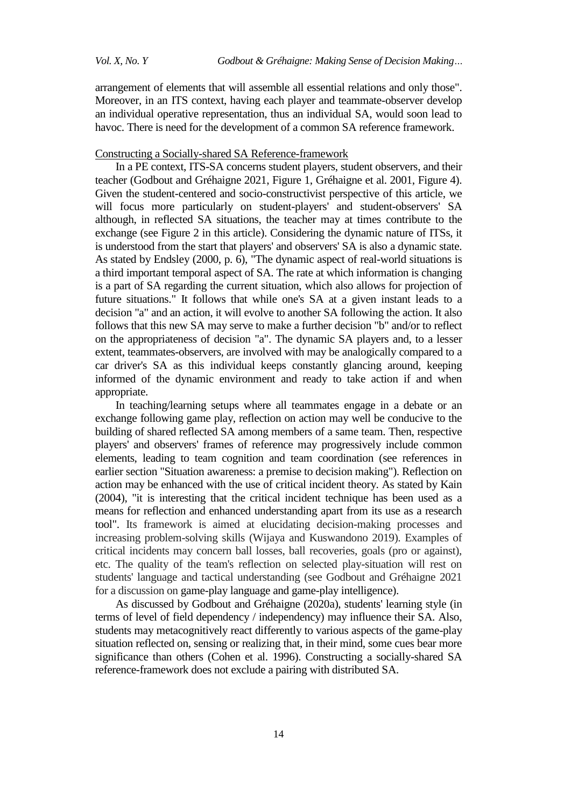arrangement of elements that will assemble all essential relations and only those". Moreover, in an ITS context, having each player and teammate-observer develop an individual operative representation, thus an individual SA, would soon lead to havoc. There is need for the development of a common SA reference framework.

#### Constructing a Socially-shared SA Reference-framework

In a PE context, ITS-SA concerns student players, student observers, and their teacher (Godbout and Gréhaigne 2021, Figure 1, Gréhaigne et al. 2001, Figure 4). Given the student-centered and socio-constructivist perspective of this article, we will focus more particularly on student-players' and student-observers' SA although, in reflected SA situations, the teacher may at times contribute to the exchange (see Figure 2 in this article). Considering the dynamic nature of ITSs, it is understood from the start that players' and observers' SA is also a dynamic state. As stated by Endsley (2000, p. 6), "The dynamic aspect of real-world situations is a third important temporal aspect of SA. The rate at which information is changing is a part of SA regarding the current situation, which also allows for projection of future situations." It follows that while one's SA at a given instant leads to a decision "a" and an action, it will evolve to another SA following the action. It also follows that this new SA may serve to make a further decision "b" and/or to reflect on the appropriateness of decision "a". The dynamic SA players and, to a lesser extent, teammates-observers, are involved with may be analogically compared to a car driver's SA as this individual keeps constantly glancing around, keeping informed of the dynamic environment and ready to take action if and when appropriate.

In teaching/learning setups where all teammates engage in a debate or an exchange following game play, reflection on action may well be conducive to the building of shared reflected SA among members of a same team. Then, respective players' and observers' frames of reference may progressively include common elements, leading to team cognition and team coordination (see references in earlier section "Situation awareness: a premise to decision making"). Reflection on action may be enhanced with the use of critical incident theory. As stated by Kain (2004), "it is interesting that the critical incident technique has been used as a means for reflection and enhanced understanding apart from its use as a research tool". Its framework is aimed at elucidating decision-making processes and increasing problem-solving skills (Wijaya and Kuswandono 2019). Examples of critical incidents may concern ball losses, ball recoveries, goals (pro or against), etc. The quality of the team's reflection on selected play-situation will rest on students' language and tactical understanding (see Godbout and Gréhaigne 2021 for a discussion on game-play language and game-play intelligence).

As discussed by Godbout and Gréhaigne (2020a), students' learning style (in terms of level of field dependency / independency) may influence their SA. Also, students may metacognitively react differently to various aspects of the game-play situation reflected on, sensing or realizing that, in their mind, some cues bear more significance than others (Cohen et al. 1996). Constructing a socially-shared SA reference-framework does not exclude a pairing with distributed SA.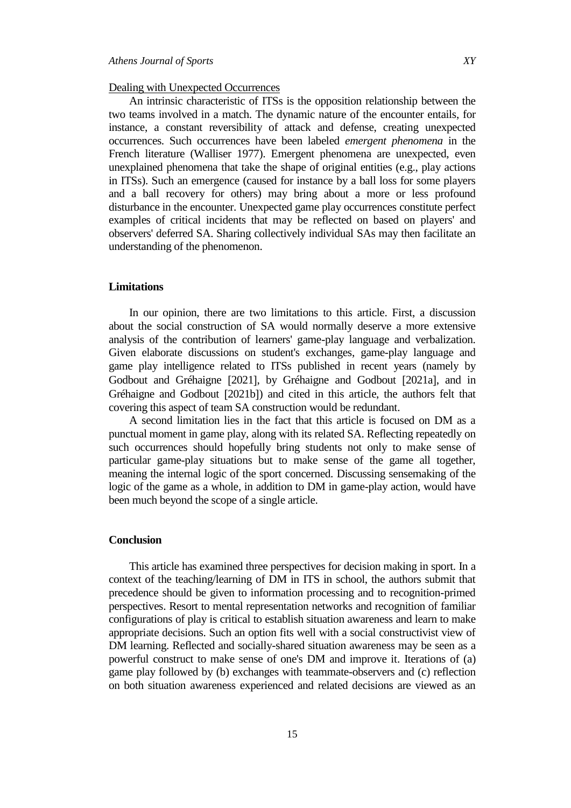#### Dealing with Unexpected Occurrences

An intrinsic characteristic of ITSs is the opposition relationship between the two teams involved in a match. The dynamic nature of the encounter entails, for instance, a constant reversibility of attack and defense, creating unexpected occurrences. Such occurrences have been labeled *emergent phenomena* in the French literature (Walliser 1977). Emergent phenomena are unexpected, even unexplained phenomena that take the shape of original entities (e.g., play actions in ITSs). Such an emergence (caused for instance by a ball loss for some players and a ball recovery for others) may bring about a more or less profound disturbance in the encounter. Unexpected game play occurrences constitute perfect examples of critical incidents that may be reflected on based on players' and observers' deferred SA. Sharing collectively individual SAs may then facilitate an understanding of the phenomenon.

## **Limitations**

In our opinion, there are two limitations to this article. First, a discussion about the social construction of SA would normally deserve a more extensive analysis of the contribution of learners' game-play language and verbalization. Given elaborate discussions on student's exchanges, game-play language and game play intelligence related to ITSs published in recent years (namely by Godbout and Gréhaigne [2021], by Gréhaigne and Godbout [2021a], and in Gréhaigne and Godbout 2021b) and cited in this article, the authors felt that covering this aspect of team SA construction would be redundant.

A second limitation lies in the fact that this article is focused on DM as a punctual moment in game play, along with its related SA. Reflecting repeatedly on such occurrences should hopefully bring students not only to make sense of particular game-play situations but to make sense of the game all together, meaning the internal logic of the sport concerned. Discussing sensemaking of the logic of the game as a whole, in addition to DM in game-play action, would have been much beyond the scope of a single article.

#### **Conclusion**

This article has examined three perspectives for decision making in sport. In a context of the teaching/learning of DM in ITS in school, the authors submit that precedence should be given to information processing and to recognition-primed perspectives. Resort to mental representation networks and recognition of familiar configurations of play is critical to establish situation awareness and learn to make appropriate decisions. Such an option fits well with a social constructivist view of DM learning. Reflected and socially-shared situation awareness may be seen as a powerful construct to make sense of one's DM and improve it. Iterations of (a) game play followed by (b) exchanges with teammate-observers and (c) reflection on both situation awareness experienced and related decisions are viewed as an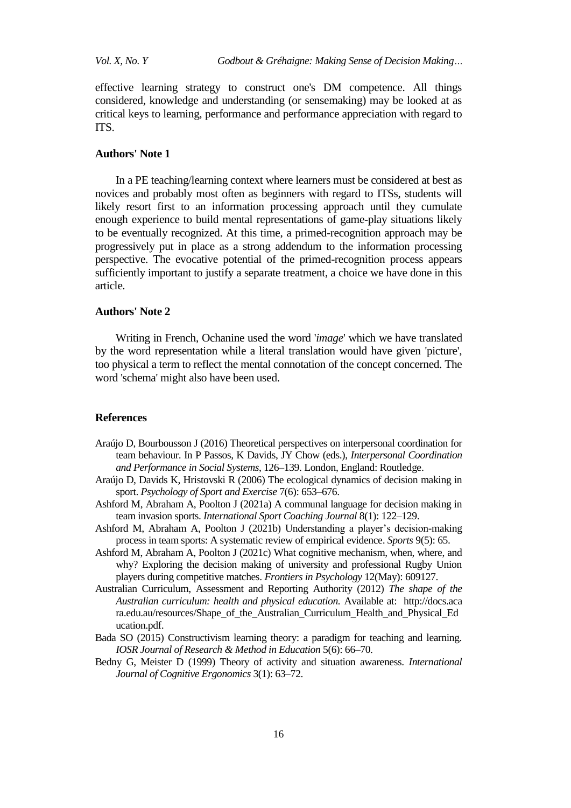effective learning strategy to construct one's DM competence. All things considered, knowledge and understanding (or sensemaking) may be looked at as critical keys to learning, performance and performance appreciation with regard to ITS.

#### **Authors' Note 1**

In a PE teaching/learning context where learners must be considered at best as novices and probably most often as beginners with regard to ITSs, students will likely resort first to an information processing approach until they cumulate enough experience to build mental representations of game-play situations likely to be eventually recognized. At this time, a primed-recognition approach may be progressively put in place as a strong addendum to the information processing perspective. The evocative potential of the primed-recognition process appears sufficiently important to justify a separate treatment, a choice we have done in this article.

## **Authors' Note 2**

Writing in French, Ochanine used the word '*image*' which we have translated by the word representation while a literal translation would have given 'picture', too physical a term to reflect the mental connotation of the concept concerned. The word 'schema' might also have been used.

#### **References**

- Araújo D, Bourbousson J (2016) Theoretical perspectives on interpersonal coordination for team behaviour. In P Passos, K Davids, JY Chow (eds.), *Interpersonal Coordination and Performance in Social Systems*, 126–139. London, England: Routledge.
- Araújo D, Davids K, Hristovski R (2006) The ecological dynamics of decision making in sport. *Psychology of Sport and Exercise* 7(6): 653–676.
- Ashford M, Abraham A, Poolton J (2021a) A communal language for decision making in team invasion sports. *International Sport Coaching Journal* 8(1): 122–129.
- Ashford M, Abraham A, Poolton J (2021b) Understanding a player"s decision-making process in team sports: A systematic review of empirical evidence. *Sports* 9(5): 65.
- Ashford M, Abraham A, Poolton J (2021c) What cognitive mechanism, when, where, and why? Exploring the decision making of university and professional Rugby Union players during competitive matches. *Frontiers in Psychology* 12(May): 609127.
- Australian Curriculum, Assessment and Reporting Authority (2012) *The shape of the Australian curriculum: health and physical education.* Available at: http://docs.aca ra.edu.au/resources/Shape\_of\_the\_Australian\_Curriculum\_Health\_and\_Physical\_Ed ucation.pdf.
- Bada SO (2015) Constructivism learning theory: a paradigm for teaching and learning. *IOSR Journal of Research & Method in Education* 5(6): 66–70.
- Bedny G, Meister D (1999) Theory of activity and situation awareness. *International Journal of Cognitive Ergonomics* 3(1): 63–72.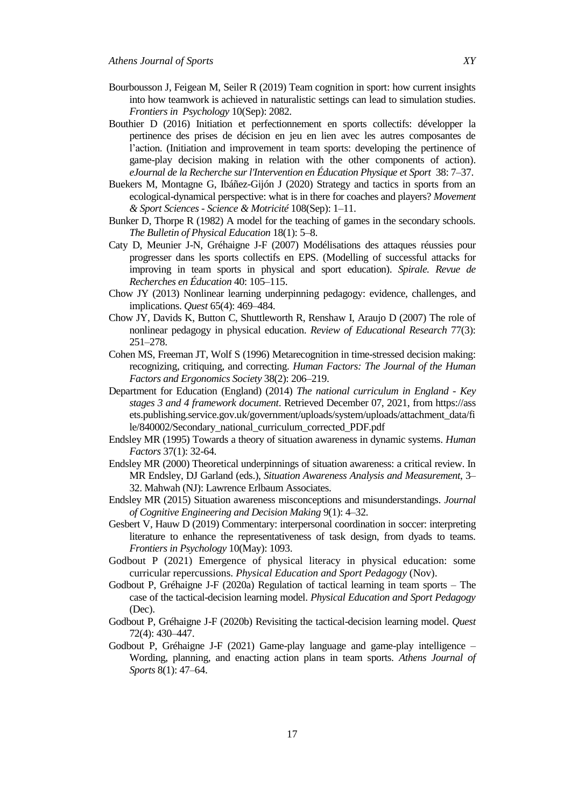- Bourbousson J, Feigean M, Seiler R (2019) Team cognition in sport: how current insights into how teamwork is achieved in naturalistic settings can lead to simulation studies. *Frontiers in Psychology* 10(Sep): 2082.
- Bouthier D (2016) Initiation et perfectionnement en sports collectifs: développer la pertinence des prises de décision en jeu en lien avec les autres composantes de l"action. (Initiation and improvement in team sports: developing the pertinence of game-play decision making in relation with the other components of action). *eJournal de la Recherche sur l'Intervention en Éducation Physique et Sport* 38: 7–37.
- Buekers M, Montagne G, Ibáñez-Gijón J (2020) Strategy and tactics in sports from an ecological-dynamical perspective: what is in there for coaches and players? *Movement & Sport Sciences - Science & Motricité* 108(Sep): 1–11.
- Bunker D, Thorpe R (1982) A model for the teaching of games in the secondary schools. *The Bulletin of Physical Education* 18(1): 5–8.
- Caty D, Meunier J-N, Gréhaigne J-F (2007) Modélisations des attaques réussies pour progresser dans les sports collectifs en EPS. (Modelling of successful attacks for improving in team sports in physical and sport education). *Spirale. Revue de Recherches en Éducation* 40: 105–115.
- Chow JY (2013) Nonlinear learning underpinning pedagogy: evidence, challenges, and implications. *Quest* 65(4): 469–484.
- Chow JY, Davids K, Button C, Shuttleworth R, Renshaw I, Araujo D (2007) The role of nonlinear pedagogy in physical education. *Review of Educational Research* 77(3): 251–278.
- Cohen MS, Freeman JT, Wolf S (1996) Metarecognition in time-stressed decision making: recognizing, critiquing, and correcting. *Human Factors: The Journal of the Human Factors and Ergonomics Society* 38(2): 206–219.
- Department for Education (England) (2014) *The national curriculum in England - Key stages 3 and 4 framework document*. Retrieved December 07, 2021, from https://ass ets.publishing.service.gov.uk/government/uploads/system/uploads/attachment\_data/fi le/840002/Secondary\_national\_curriculum\_corrected\_PDF.pdf
- Endsley MR (1995) Towards a theory of situation awareness in dynamic systems. *Human Factors* 37(1): 32-64.
- Endsley MR (2000) Theoretical underpinnings of situation awareness: a critical review. In MR Endsley, DJ Garland (eds.), *Situation Awareness Analysis and Measurement*, 3– 32. Mahwah (NJ): Lawrence Erlbaum Associates.
- Endsley MR (2015) Situation awareness misconceptions and misunderstandings. *Journal of Cognitive Engineering and Decision Making* 9(1): 4–32.
- Gesbert V, Hauw D (2019) Commentary: interpersonal coordination in soccer: interpreting literature to enhance the representativeness of task design, from dyads to teams. *Frontiers in Psychology* 10(May): 1093.
- Godbout P (2021) Emergence of physical literacy in physical education: some curricular repercussions. *Physical Education and Sport Pedagogy* (Nov).
- Godbout P, Gréhaigne J-F (2020a) Regulation of tactical learning in team sports The case of the tactical-decision learning model. *Physical Education and Sport Pedagogy* (Dec).
- Godbout P, Gréhaigne J-F (2020b) Revisiting the tactical-decision learning model. *Quest* 72(4): 430–447.
- Godbout P, Gréhaigne J-F (2021) Game-play language and game-play intelligence Wording, planning, and enacting action plans in team sports. *Athens Journal of Sports* 8(1): 47–64.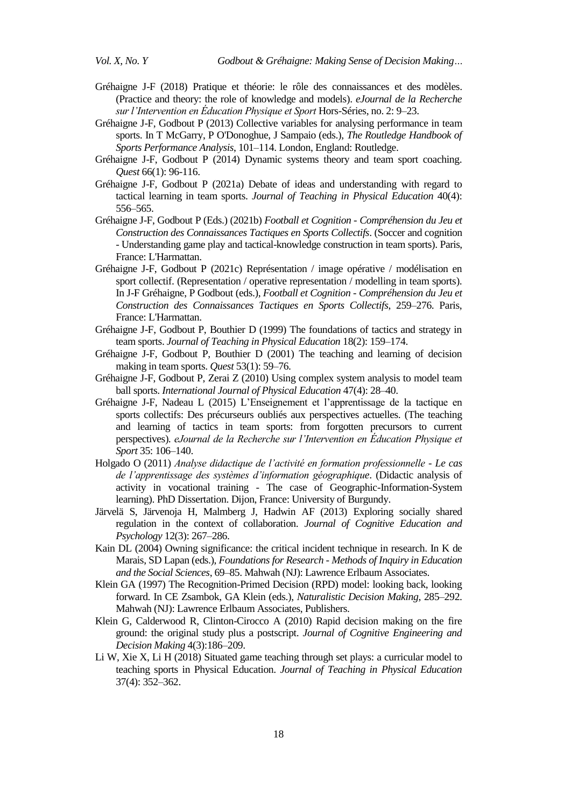- Gréhaigne J-F (2018) Pratique et théorie: le rôle des connaissances et des modèles. (Practice and theory: the role of knowledge and models). *eJournal de la Recherche sur l'Intervention en Éducation Physique et Sport* Hors-Séries, no. 2: 9–23.
- Gréhaigne J-F, Godbout P (2013) Collective variables for analysing performance in team sports. In T McGarry, P O'Donoghue, J Sampaio (eds.), *The Routledge Handbook of Sports Performance Analysis*, 101–114. London, England: Routledge.
- Gréhaigne J-F, Godbout P (2014) Dynamic systems theory and team sport coaching. *Quest* 66(1): 96-116.
- Gréhaigne J-F, Godbout P (2021a) Debate of ideas and understanding with regard to tactical learning in team sports. *Journal of Teaching in Physical Education* 40(4): 556–565.
- Gréhaigne J-F, Godbout P (Eds.) (2021b) *Football et Cognition - Compréhension du Jeu et Construction des Connaissances Tactiques en Sports Collectifs*. (Soccer and cognition - Understanding game play and tactical-knowledge construction in team sports). Paris, France: L'Harmattan.
- Gréhaigne J-F, Godbout P (2021c) Représentation / image opérative / modélisation en sport collectif. (Representation / operative representation / modelling in team sports). In J-F Gréhaigne, P Godbout (eds.), *Football et Cognition - Compréhension du Jeu et Construction des Connaissances Tactiques en Sports Collectifs*, 259–276. Paris, France: L'Harmattan.
- Gréhaigne J-F, Godbout P, Bouthier D (1999) The foundations of tactics and strategy in team sports. *Journal of Teaching in Physical Education* 18(2): 159–174.
- Gréhaigne J-F, Godbout P, Bouthier D (2001) The teaching and learning of decision making in team sports. *Quest* 53(1): 59–76.
- Gréhaigne J-F, Godbout P, Zerai Z (2010) Using complex system analysis to model team ball sports. *International Journal of Physical Education* 47(4): 28–40.
- Gréhaigne J-F, Nadeau L (2015) L"Enseignement et l"apprentissage de la tactique en sports collectifs: Des précurseurs oubliés aux perspectives actuelles. (The teaching and learning of tactics in team sports: from forgotten precursors to current perspectives). *eJournal de la Recherche sur l'Intervention en Éducation Physique et Sport* 35: 106–140.
- Holgado O (2011) *Analyse didactique de l'activité en formation professionnelle - Le cas de l'apprentissage des systèmes d'information géographique*. (Didactic analysis of activity in vocational training - The case of Geographic-Information-System learning). PhD Dissertation. Dijon, France: University of Burgundy.
- Järvelä S, Järvenoja H, Malmberg J, Hadwin AF (2013) Exploring socially shared regulation in the context of collaboration. *Journal of Cognitive Education and Psychology* 12(3): 267–286.
- Kain DL (2004) Owning significance: the critical incident technique in research. In K de Marais, SD Lapan (eds.), *Foundations for Research - Methods of Inquiry in Education and the Social Sciences*, 69–85. Mahwah (NJ): Lawrence Erlbaum Associates.
- Klein GA (1997) The Recognition-Primed Decision (RPD) model: looking back, looking forward. In CE Zsambok, GA Klein (eds.), *Naturalistic Decision Making*, 285–292. Mahwah (NJ): Lawrence Erlbaum Associates, Publishers.
- Klein G, Calderwood R, Clinton-Cirocco A (2010) Rapid decision making on the fire ground: the original study plus a postscript. *Journal of Cognitive Engineering and Decision Making* 4(3):186–209.
- Li W, Xie X, Li H (2018) Situated game teaching through set plays: a curricular model to teaching sports in Physical Education. *Journal of Teaching in Physical Education* 37(4): 352–362.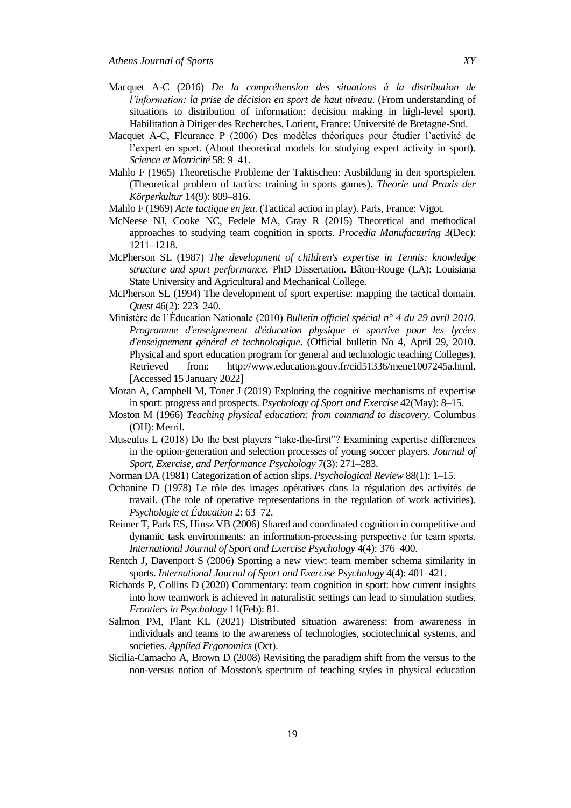- Macquet A-C (2016) *De la compréhension des situations à la distribution de l'information: la prise de décision en sport de haut niveau*. (From understanding of situations to distribution of information: decision making in high-level sport). Habilitation à Diriger des Recherches. Lorient, France: Université de Bretagne-Sud.
- Macquet A-C, Fleurance P (2006) Des modèles théoriques pour étudier l"activité de l"expert en sport. (About theoretical models for studying expert activity in sport). *Science et Motricité* 58: 9–41.
- Mahlo F (1965) Theoretische Probleme der Taktischen: Ausbildung in den sportspielen. (Theoretical problem of tactics: training in sports games). *Theorie und Praxis der Körperkultur* 14(9): 809–816.
- Mahlo F (1969) *Acte tactique en jeu*. (Tactical action in play). Paris, France: Vigot.
- McNeese NJ, Cooke NC, Fedele MA, Gray R (2015) Theoretical and methodical approaches to studying team cognition in sports. *Procedia Manufacturing* 3(Dec): 1211**–**1218.
- McPherson SL (1987) *The development of children's expertise in Tennis: knowledge structure and sport performance.* PhD Dissertation. Bâton-Rouge (LA): Louisiana State University and Agricultural and Mechanical College.
- McPherson SL (1994) The development of sport expertise: mapping the tactical domain. *Quest* 46(2): 223–240.
- Ministère de l"Éducation Nationale (2010) *Bulletin officiel spécial n° 4 du 29 avril 2010. Programme d'enseignement d'éducation physique et sportive pour les lycées d'enseignement général et technologique*. (Official bulletin No 4, April 29, 2010. Physical and sport education program for general and technologic teaching Colleges). Retrieved from: [http://www.education.gouv.fr/cid51336/mene1007245a.html.](http://www.education.gouv.fr/cid51336/mene1007245a.html) [Accessed 15 January 2022]
- Moran A, Campbell M, Toner J (2019) Exploring the cognitive mechanisms of expertise in sport: progress and prospects. *Psychology of Sport and Exercise* 42(May): 8–15.
- Moston M (1966) *Teaching physical education: from command to discovery*. Columbus (OH): Merril.
- Musculus L (2018) Do the best players "take-the-first"? Examining expertise differences in the option-generation and selection processes of young soccer players. *Journal of Sport, Exercise, and Performance Psychology* 7(3): 271–283.
- Norman DA (1981) Categorization of action slips. *Psychological Review* 88(1): 1–15.
- Ochanine D (1978) Le rôle des images opératives dans la régulation des activités de travail. (The role of operative representations in the regulation of work activities). *Psychologie et Éducation* 2: 63–72.
- Reimer T, Park ES, Hinsz VB (2006) Shared and coordinated cognition in competitive and dynamic task environments: an information‐processing perspective for team sports. *International Journal of Sport and Exercise Psychology* 4(4): 376–400.
- Rentch J, Davenport S (2006) Sporting a new view: team member schema similarity in sports. *International Journal of Sport and Exercise Psychology* 4(4): 401–421.
- Richards P, Collins D (2020) Commentary: team cognition in sport: how current insights into how teamwork is achieved in naturalistic settings can lead to simulation studies. *Frontiers in Psychology* 11(Feb): 81.
- Salmon PM, Plant KL (2021) Distributed situation awareness: from awareness in individuals and teams to the awareness of technologies, sociotechnical systems, and societies. *Applied Ergonomics* (Oct).
- Sicilia-Camacho A, Brown D (2008) Revisiting the paradigm shift from the versus to the non-versus notion of Mosston's spectrum of teaching styles in physical education